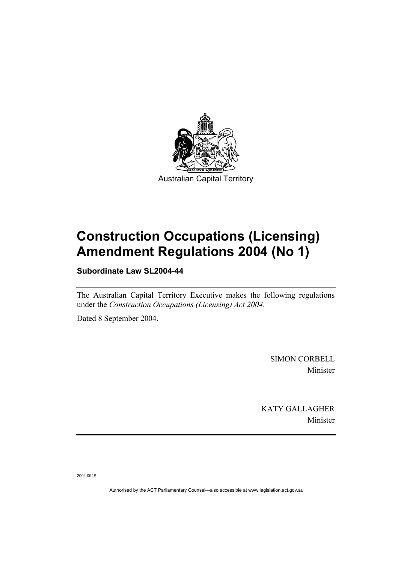

# **Construction Occupations (Licensing) Amendment Regulations 2004 (No 1)**

**Subordinate Law SL2004-44** 

The Australian Capital Territory Executive makes the following regulations under the *Construction Occupations (Licensing) Act 2004*.

Dated 8 September 2004.

SIMON CORBELL Minister

KATY GALLAGHER Minister

2004 094S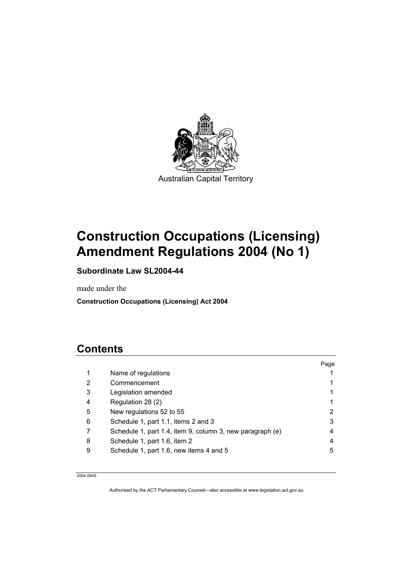

# **Construction Occupations (Licensing) Amendment Regulations 2004 (No 1)**

# **Subordinate Law SL2004-44**

made under the

**Construction Occupations (Licensing) Act 2004** 

# **Contents**

|   |                                                           | Page |
|---|-----------------------------------------------------------|------|
| 1 | Name of regulations                                       |      |
| 2 | Commencement                                              |      |
| 3 | Legislation amended                                       |      |
| 4 | Regulation 28 (2)                                         |      |
| 5 | New regulations 52 to 55                                  | 2    |
| 6 | Schedule 1, part 1.1, items 2 and 3                       | 3    |
|   | Schedule 1, part 1.4, item 9, column 3, new paragraph (e) | 4    |
| 8 | Schedule 1, part 1.6, item 2                              | 4    |
| 9 | Schedule 1, part 1.6, new items 4 and 5                   | 5    |
|   |                                                           |      |

2004 094S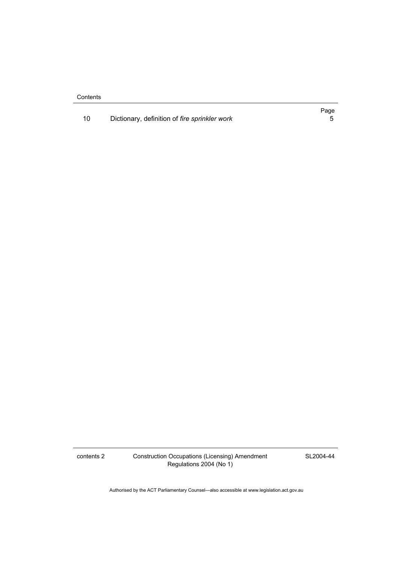**Contents** 

|  |  | Dictionary, definition of fire sprinkler work |  |
|--|--|-----------------------------------------------|--|
|--|--|-----------------------------------------------|--|

contents 2 Construction Occupations (Licensing) Amendment Regulations 2004 (No 1)

SL2004-44

Authorised by the ACT Parliamentary Counsel—also accessible at www.legislation.act.gov.au

Page<br>5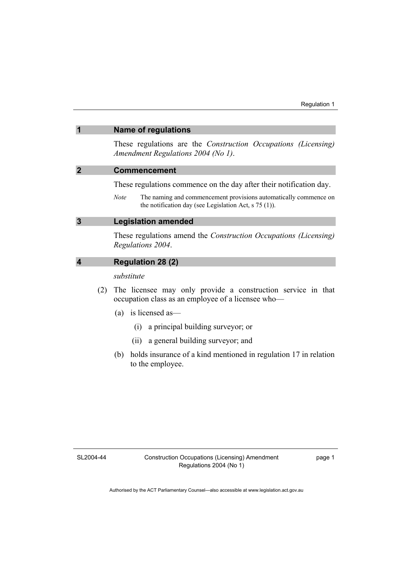#### **1 Name of regulations**

These regulations are the *Construction Occupations (Licensing) Amendment Regulations 2004 (No 1)*.

#### **2 Commencement**

These regulations commence on the day after their notification day.

*Note* The naming and commencement provisions automatically commence on the notification day (see Legislation Act, s 75 (1)).

#### **3 Legislation amended**

These regulations amend the *Construction Occupations (Licensing) Regulations 2004*.

### **4 Regulation 28 (2)**

*substitute* 

- (2) The licensee may only provide a construction service in that occupation class as an employee of a licensee who—
	- (a) is licensed as—
		- (i) a principal building surveyor; or
		- (ii) a general building surveyor; and
	- (b) holds insurance of a kind mentioned in regulation 17 in relation to the employee.

SL2004-44

page 1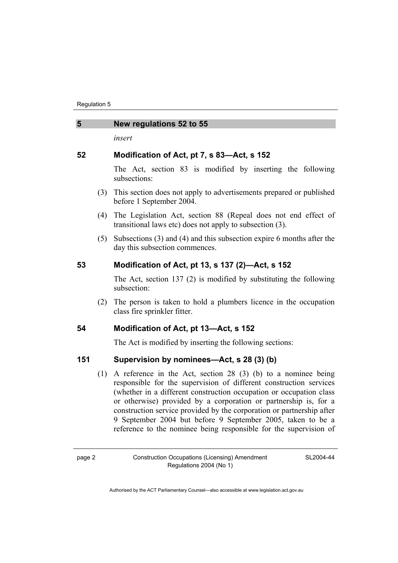#### **5 New regulations 52 to 55**

*insert* 

### **52 Modification of Act, pt 7, s 83—Act, s 152**

The Act, section 83 is modified by inserting the following subsections:

- (3) This section does not apply to advertisements prepared or published before 1 September 2004.
- (4) The Legislation Act, section 88 (Repeal does not end effect of transitional laws etc) does not apply to subsection (3).
- (5) Subsections (3) and (4) and this subsection expire 6 months after the day this subsection commences.

# **53 Modification of Act, pt 13, s 137 (2)—Act, s 152**

The Act, section 137 (2) is modified by substituting the following subsection:

 (2) The person is taken to hold a plumbers licence in the occupation class fire sprinkler fitter.

# **54 Modification of Act, pt 13—Act, s 152**

The Act is modified by inserting the following sections:

# **151 Supervision by nominees—Act, s 28 (3) (b)**

 (1) A reference in the Act, section 28 (3) (b) to a nominee being responsible for the supervision of different construction services (whether in a different construction occupation or occupation class or otherwise) provided by a corporation or partnership is, for a construction service provided by the corporation or partnership after 9 September 2004 but before 9 September 2005, taken to be a reference to the nominee being responsible for the supervision of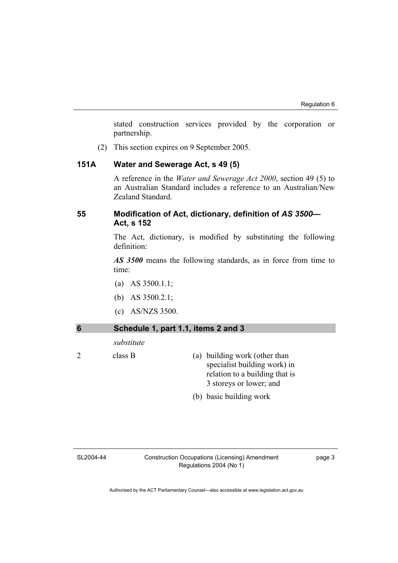stated construction services provided by the corporation or partnership.

(2) This section expires on 9 September 2005.

#### **151A Water and Sewerage Act, s 49 (5)**

A reference in the *Water and Sewerage Act 2000*, section 49 (5) to an Australian Standard includes a reference to an Australian/New Zealand Standard.

### **55 Modification of Act, dictionary, definition of** *AS 3500—* **Act, s 152**

The Act, dictionary, is modified by substituting the following definition:

*AS 3500* means the following standards, as in force from time to time:

- (a) AS 3500.1.1;
- (b) AS 3500.2.1;
- (c) AS/NZS 3500.

| Schedule 1, part 1.1, items 2 and 3 |                                                                                                                            |
|-------------------------------------|----------------------------------------------------------------------------------------------------------------------------|
| substitute                          |                                                                                                                            |
| class B                             | (a) building work (other than<br>specialist building work) in<br>relation to a building that is<br>3 storeys or lower; and |
|                                     | (b) basic building work                                                                                                    |

#### SL2004-44

Construction Occupations (Licensing) Amendment Regulations 2004 (No 1)

page 3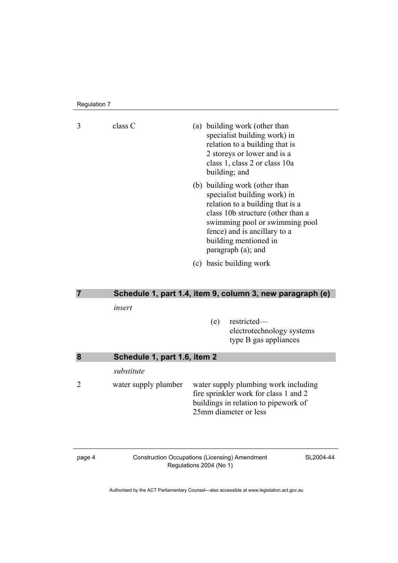Regulation 7

3 class C (a) building work (other than specialist building work) in relation to a building that is 2 storeys or lower and is a class 1, class 2 or class 10a building; and (b) building work (other than specialist building work) in relation to a building that is a class 10b structure (other than a swimming pool or swimming pool fence) and is ancillary to a building mentioned in paragraph (a); and (c) basic building work **7 Schedule 1, part 1.4, item 9, column 3, new paragraph (e)**  *insert*  (e) restricted electrotechnology systems type B gas appliances **8 Schedule 1, part 1.6, item 2**  *substitute*  2 water supply plumber water supply plumbing work including fire sprinkler work for class 1 and 2 buildings in relation to pipework of 25mm diameter or less

page 4 Construction Occupations (Licensing) Amendment Regulations 2004 (No 1)

SL2004-44